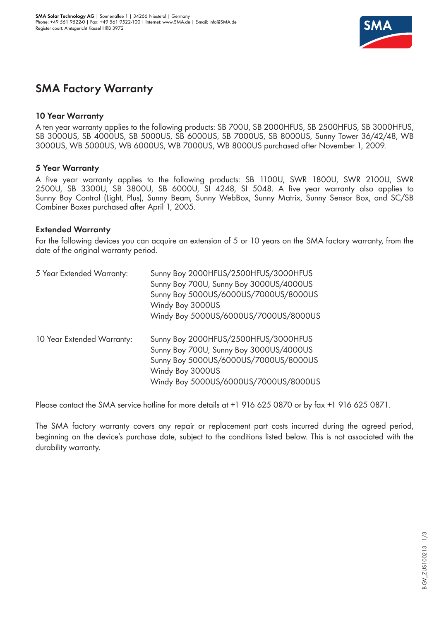

# **SMA Factory Warranty**

#### **10 Year Warranty**

A ten year warranty applies to the following products: SB 700U, SB 2000HFUS, SB 2500HFUS, SB 3000HFUS, SB 3000US, SB 4000US, SB 5000US, SB 6000US, SB 7000US, SB 8000US, Sunny Tower 36/42/48, WB 3000US, WB 5000US, WB 6000US, WB 7000US, WB 8000US purchased after November 1, 2009.

## **5 Year Warranty**

A five year warranty applies to the following products: SB 1100U, SWR 1800U, SWR 2100U, SWR 2500U, SB 3300U, SB 3800U, SB 6000U, SI 4248, SI 5048. A five year warranty also applies to Sunny Boy Control (Light, Plus), Sunny Beam, Sunny WebBox, Sunny Matrix, Sunny Sensor Box, and SC/SB Combiner Boxes purchased after April 1, 2005.

## **Extended Warranty**

For the following devices you can acquire an extension of 5 or 10 years on the SMA factory warranty, from the date of the original warranty period.

| 5 Year Extended Warranty:  | Sunny Boy 2000HFUS/2500HFUS/3000HFUS<br>Sunny Boy 700U, Sunny Boy 3000US/4000US<br>Sunny Boy 5000US/6000US/7000US/8000US<br>Windy Boy 3000US                                          |  |  |
|----------------------------|---------------------------------------------------------------------------------------------------------------------------------------------------------------------------------------|--|--|
|                            | Windy Boy 5000US/6000US/7000US/8000US                                                                                                                                                 |  |  |
| 10 Year Extended Warranty: | Sunny Boy 2000HFUS/2500HFUS/3000HFUS<br>Sunny Boy 700U, Sunny Boy 3000US/4000US<br>Sunny Boy 5000US/6000US/7000US/8000US<br>Windy Boy 3000US<br>Windy Boy 5000US/6000US/7000US/8000US |  |  |

Please contact the SMA service hotline for more details at +1 916 625 0870 or by fax +1 916 625 0871.

The SMA factory warranty covers any repair or replacement part costs incurred during the agreed period, beginning on the device's purchase date, subject to the conditions listed below. This is not associated with the durability warranty.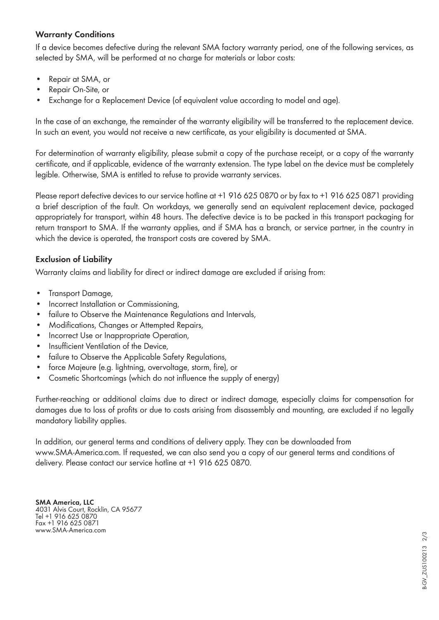# **Warranty Conditions**

If a device becomes defective during the relevant SMA factory warranty period, one of the following services, as selected by SMA, will be performed at no charge for materials or labor costs:

- Repair at SMA, or
- Repair On-Site, or
- Exchange for a Replacement Device (of equivalent value according to model and age).

In the case of an exchange, the remainder of the warranty eligibility will be transferred to the replacement device. In such an event, you would not receive a new certificate, as your eligibility is documented at SMA.

For determination of warranty eligibility, please submit a copy of the purchase receipt, or a copy of the warranty certificate, and if applicable, evidence of the warranty extension. The type label on the device must be completely legible. Otherwise, SMA is entitled to refuse to provide warranty services.

Please report defective devices to our service hotline at +1 916 625 0870 or by fax to +1 916 625 0871 providing a brief description of the fault. On workdays, we generally send an equivalent replacement device, packaged appropriately for transport, within 48 hours. The defective device is to be packed in this transport packaging for return transport to SMA. If the warranty applies, and if SMA has a branch, or service partner, in the country in which the device is operated, the transport costs are covered by SMA.

# **Exclusion of Liability**

Warranty claims and liability for direct or indirect damage are excluded if arising from:

- Transport Damage,
- Incorrect Installation or Commissioning,
- failure to Observe the Maintenance Regulations and Intervals,
- Modifications, Changes or Attempted Repairs,
- Incorrect Use or Inappropriate Operation,
- Insufficient Ventilation of the Device,
- failure to Observe the Applicable Safety Regulations,
- force Majeure (e.g. lightning, overvoltage, storm, fire), or
- Cosmetic Shortcomings (which do not influence the supply of energy)

Further-reaching or additional claims due to direct or indirect damage, especially claims for compensation for damages due to loss of profits or due to costs arising from disassembly and mounting, are excluded if no legally mandatory liability applies.

In addition, our general terms and conditions of delivery apply. They can be downloaded from www.SMA-America.com. If requested, we can also send you a copy of our general terms and conditions of delivery. Please contact our service hotline at +1 916 625 0870.

**SMA America, LLC** 4031 Alvis Court, Rocklin, CA 95677 Tel +1 916 625 0870 Fax +1 916 625 0871 www.SMA-America.com